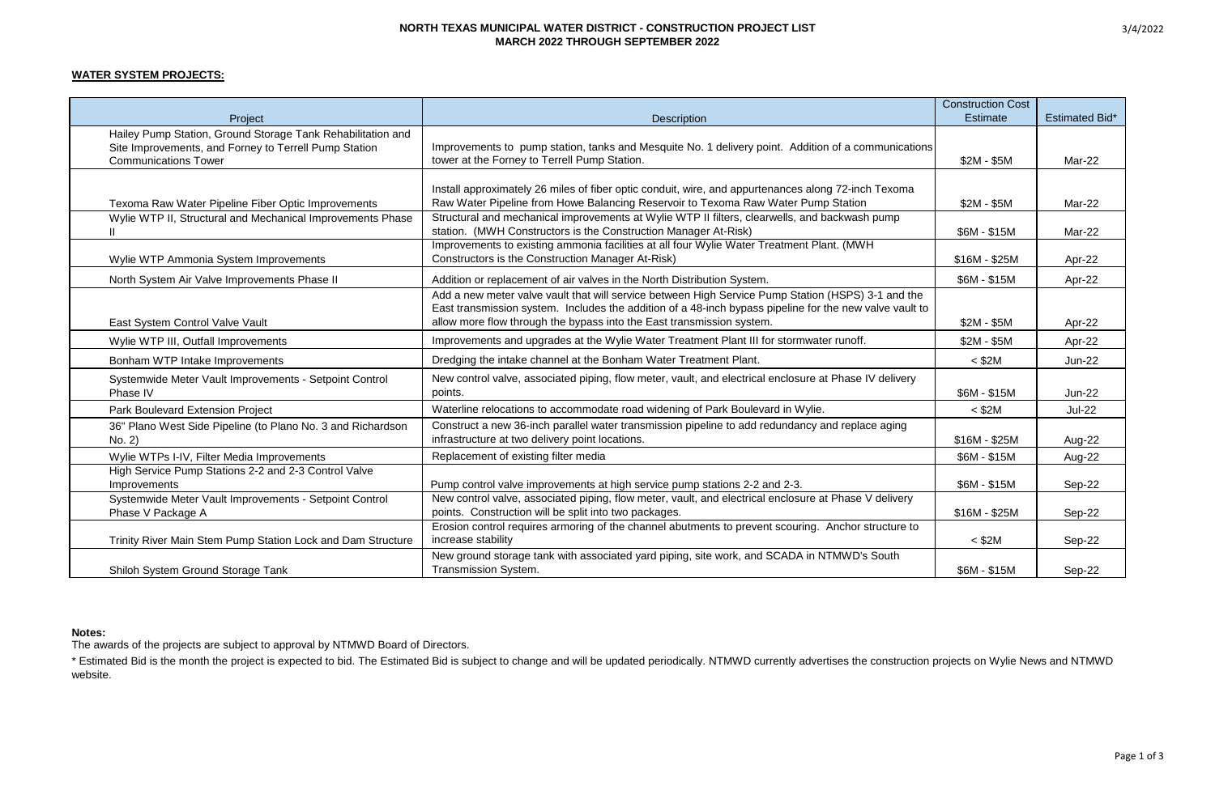#### **NORTH TEXAS MUNICIPAL WATER DISTRICT - CONSTRUCTION PROJECT LIST MARCH 2022 THROUGH SEPTEMBER 2022**

# **WATER SYSTEM PROJECTS:**

|                                                                                                                                                     |                                                                                                                                                                                                                                                                                        | <b>Construction Cost</b> |                       |
|-----------------------------------------------------------------------------------------------------------------------------------------------------|----------------------------------------------------------------------------------------------------------------------------------------------------------------------------------------------------------------------------------------------------------------------------------------|--------------------------|-----------------------|
| Project                                                                                                                                             | <b>Description</b>                                                                                                                                                                                                                                                                     | <b>Estimate</b>          | <b>Estimated Bid*</b> |
| Hailey Pump Station, Ground Storage Tank Rehabilitation and<br>Site Improvements, and Forney to Terrell Pump Station<br><b>Communications Tower</b> | Improvements to pump station, tanks and Mesquite No. 1 delivery point. Addition of a communications<br>tower at the Forney to Terrell Pump Station.                                                                                                                                    | $$2M - $5M$              | Mar-22                |
| Texoma Raw Water Pipeline Fiber Optic Improvements                                                                                                  | Install approximately 26 miles of fiber optic conduit, wire, and appurtenances along 72-inch Texoma<br>Raw Water Pipeline from Howe Balancing Reservoir to Texoma Raw Water Pump Station                                                                                               | $$2M - $5M$              | Mar-22                |
| Wylie WTP II, Structural and Mechanical Improvements Phase                                                                                          | Structural and mechanical improvements at Wylie WTP II filters, clearwells, and backwash pump<br>station. (MWH Constructors is the Construction Manager At-Risk)                                                                                                                       | \$6M - \$15M             | Mar-22                |
| Wylie WTP Ammonia System Improvements                                                                                                               | Improvements to existing ammonia facilities at all four Wylie Water Treatment Plant. (MWH<br>Constructors is the Construction Manager At-Risk)                                                                                                                                         | $$16M - $25M$            | Apr-22                |
| North System Air Valve Improvements Phase II                                                                                                        | Addition or replacement of air valves in the North Distribution System.                                                                                                                                                                                                                | \$6M - \$15M             | Apr-22                |
| East System Control Valve Vault                                                                                                                     | Add a new meter valve vault that will service between High Service Pump Station (HSPS) 3-1 and the<br>East transmission system. Includes the addition of a 48-inch bypass pipeline for the new valve vault to<br>allow more flow through the bypass into the East transmission system. | $$2M - $5M$              | Apr-22                |
| Wylie WTP III, Outfall Improvements                                                                                                                 | Improvements and upgrades at the Wylie Water Treatment Plant III for stormwater runoff.                                                                                                                                                                                                | \$2M - \$5M              | Apr-22                |
| Bonham WTP Intake Improvements                                                                                                                      | Dredging the intake channel at the Bonham Water Treatment Plant.                                                                                                                                                                                                                       | $<$ \$2M                 | <b>Jun-22</b>         |
| Systemwide Meter Vault Improvements - Setpoint Control<br>Phase IV                                                                                  | New control valve, associated piping, flow meter, vault, and electrical enclosure at Phase IV delivery<br>points.                                                                                                                                                                      | \$6M - \$15M             | <b>Jun-22</b>         |
| Park Boulevard Extension Project                                                                                                                    | Waterline relocations to accommodate road widening of Park Boulevard in Wylie.                                                                                                                                                                                                         | $<$ \$2M                 | <b>Jul-22</b>         |
| 36" Plano West Side Pipeline (to Plano No. 3 and Richardson<br>No. 2)                                                                               | Construct a new 36-inch parallel water transmission pipeline to add redundancy and replace aging<br>infrastructure at two delivery point locations.                                                                                                                                    | $$16M - $25M$            | Aug-22                |
| Wylie WTPs I-IV, Filter Media Improvements                                                                                                          | Replacement of existing filter media                                                                                                                                                                                                                                                   | \$6M - \$15M             | Aug-22                |
| High Service Pump Stations 2-2 and 2-3 Control Valve<br>Improvements                                                                                | Pump control valve improvements at high service pump stations 2-2 and 2-3.                                                                                                                                                                                                             | \$6M - \$15M             | Sep-22                |
| Systemwide Meter Vault Improvements - Setpoint Control<br>Phase V Package A                                                                         | New control valve, associated piping, flow meter, vault, and electrical enclosure at Phase V delivery<br>points. Construction will be split into two packages.                                                                                                                         | $$16M - $25M$            | Sep-22                |
| Trinity River Main Stem Pump Station Lock and Dam Structure                                                                                         | Erosion control requires armoring of the channel abutments to prevent scouring. Anchor structure to<br>increase stability                                                                                                                                                              | $<$ \$2M                 | Sep-22                |
| Shiloh System Ground Storage Tank                                                                                                                   | New ground storage tank with associated yard piping, site work, and SCADA in NTMWD's South<br>Transmission System.                                                                                                                                                                     | \$6M - \$15M             | Sep-22                |

#### **Notes:**

The awards of the projects are subject to approval by NTMWD Board of Directors.

\* Estimated Bid is the month the project is expected to bid. The Estimated Bid is subject to change and will be updated periodically. NTMWD currently advertises the construction projects on Wylie News and NTMWD website.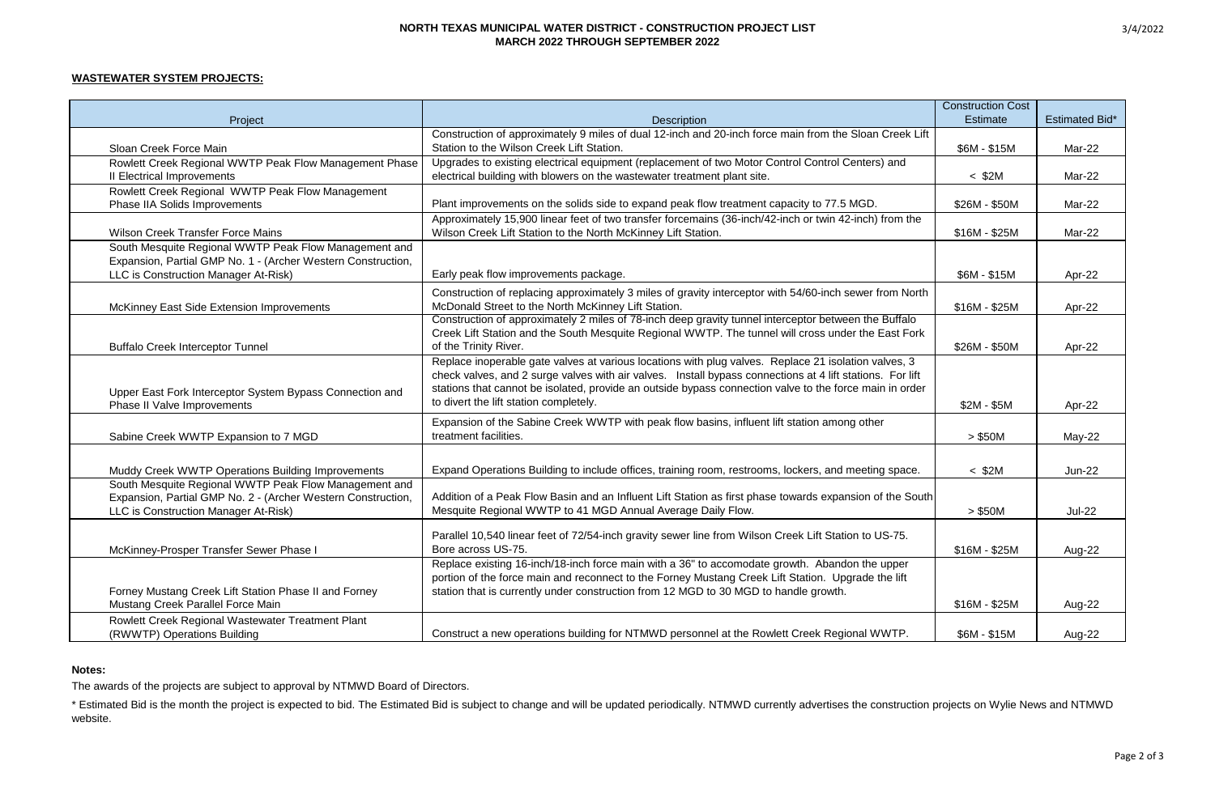#### **NORTH TEXAS MUNICIPAL WATER DISTRICT - CONSTRUCTION PROJECT LIST MARCH 2022 THROUGH SEPTEMBER 2022**

## **WASTEWATER SYSTEM PROJECTS:**

|                                                              |                                                                                                           | <b>Construction Cost</b> |                       |
|--------------------------------------------------------------|-----------------------------------------------------------------------------------------------------------|--------------------------|-----------------------|
| Project                                                      | <b>Description</b>                                                                                        | Estimate                 | <b>Estimated Bid*</b> |
|                                                              | Construction of approximately 9 miles of dual 12-inch and 20-inch force main from the Sloan Creek Lift    |                          |                       |
| Sloan Creek Force Main                                       | Station to the Wilson Creek Lift Station.                                                                 | $$6M - $15M$             | Mar-22                |
| Rowlett Creek Regional WWTP Peak Flow Management Phase       | Upgrades to existing electrical equipment (replacement of two Motor Control Control Centers) and          |                          |                       |
| Il Electrical Improvements                                   | electrical building with blowers on the wastewater treatment plant site.                                  | $<$ \$2M                 | Mar-22                |
| Rowlett Creek Regional WWTP Peak Flow Management             |                                                                                                           |                          |                       |
| Phase IIA Solids Improvements                                | Plant improvements on the solids side to expand peak flow treatment capacity to 77.5 MGD.                 | \$26M - \$50M            | Mar-22                |
|                                                              | Approximately 15,900 linear feet of two transfer forcemains (36-inch/42-inch or twin 42-inch) from the    |                          |                       |
| <b>Wilson Creek Transfer Force Mains</b>                     | Wilson Creek Lift Station to the North McKinney Lift Station.                                             | $$16M - $25M$            | Mar-22                |
| South Mesquite Regional WWTP Peak Flow Management and        |                                                                                                           |                          |                       |
| Expansion, Partial GMP No. 1 - (Archer Western Construction, |                                                                                                           |                          |                       |
| LLC is Construction Manager At-Risk)                         | Early peak flow improvements package.                                                                     | \$6M - \$15M             | Apr-22                |
|                                                              | Construction of replacing approximately 3 miles of gravity interceptor with 54/60-inch sewer from North   |                          |                       |
| McKinney East Side Extension Improvements                    | McDonald Street to the North McKinney Lift Station.                                                       | $$16M - $25M$            | Apr-22                |
|                                                              | Construction of approximately 2 miles of 78-inch deep gravity tunnel interceptor between the Buffalo      |                          |                       |
|                                                              | Creek Lift Station and the South Mesquite Regional WWTP. The tunnel will cross under the East Fork        |                          |                       |
| <b>Buffalo Creek Interceptor Tunnel</b>                      | of the Trinity River.                                                                                     | \$26M - \$50M            | Apr-22                |
|                                                              | Replace inoperable gate valves at various locations with plug valves. Replace 21 isolation valves, 3      |                          |                       |
|                                                              | check valves, and 2 surge valves with air valves. Install bypass connections at 4 lift stations. For lift |                          |                       |
| Upper East Fork Interceptor System Bypass Connection and     | stations that cannot be isolated, provide an outside bypass connection valve to the force main in order   |                          |                       |
| Phase II Valve Improvements                                  | to divert the lift station completely.                                                                    | $$2M - $5M$              | Apr-22                |
|                                                              | Expansion of the Sabine Creek WWTP with peak flow basins, influent lift station among other               |                          |                       |
| Sabine Creek WWTP Expansion to 7 MGD                         | treatment facilities.                                                                                     | > \$50M                  | May-22                |
|                                                              |                                                                                                           |                          |                       |
| Muddy Creek WWTP Operations Building Improvements            | Expand Operations Building to include offices, training room, restrooms, lockers, and meeting space.      | $<$ \$2M                 | <b>Jun-22</b>         |
| South Mesquite Regional WWTP Peak Flow Management and        |                                                                                                           |                          |                       |
| Expansion, Partial GMP No. 2 - (Archer Western Construction, | Addition of a Peak Flow Basin and an Influent Lift Station as first phase towards expansion of the South  |                          |                       |
| LLC is Construction Manager At-Risk)                         | Mesquite Regional WWTP to 41 MGD Annual Average Daily Flow.                                               | > \$50M                  | <b>Jul-22</b>         |
|                                                              |                                                                                                           |                          |                       |
|                                                              | Parallel 10,540 linear feet of 72/54-inch gravity sewer line from Wilson Creek Lift Station to US-75.     |                          |                       |
| McKinney-Prosper Transfer Sewer Phase I                      | Bore across US-75.                                                                                        | $$16M - $25M$            | Aug-22                |
|                                                              | Replace existing 16-inch/18-inch force main with a 36" to accomodate growth. Abandon the upper            |                          |                       |
|                                                              | portion of the force main and reconnect to the Forney Mustang Creek Lift Station. Upgrade the lift        |                          |                       |
| Forney Mustang Creek Lift Station Phase II and Forney        | station that is currently under construction from 12 MGD to 30 MGD to handle growth.                      |                          |                       |
| Mustang Creek Parallel Force Main                            |                                                                                                           | $$16M - $25M$            | Aug-22                |
| Rowlett Creek Regional Wastewater Treatment Plant            |                                                                                                           |                          |                       |
| (RWWTP) Operations Building                                  | Construct a new operations building for NTMWD personnel at the Rowlett Creek Regional WWTP.               | \$6M - \$15M             | Aug-22                |

#### **Notes:**

The awards of the projects are subject to approval by NTMWD Board of Directors.

\* Estimated Bid is the month the project is expected to bid. The Estimated Bid is subject to change and will be updated periodically. NTMWD currently advertises the construction projects on Wylie News and NTMWD website.